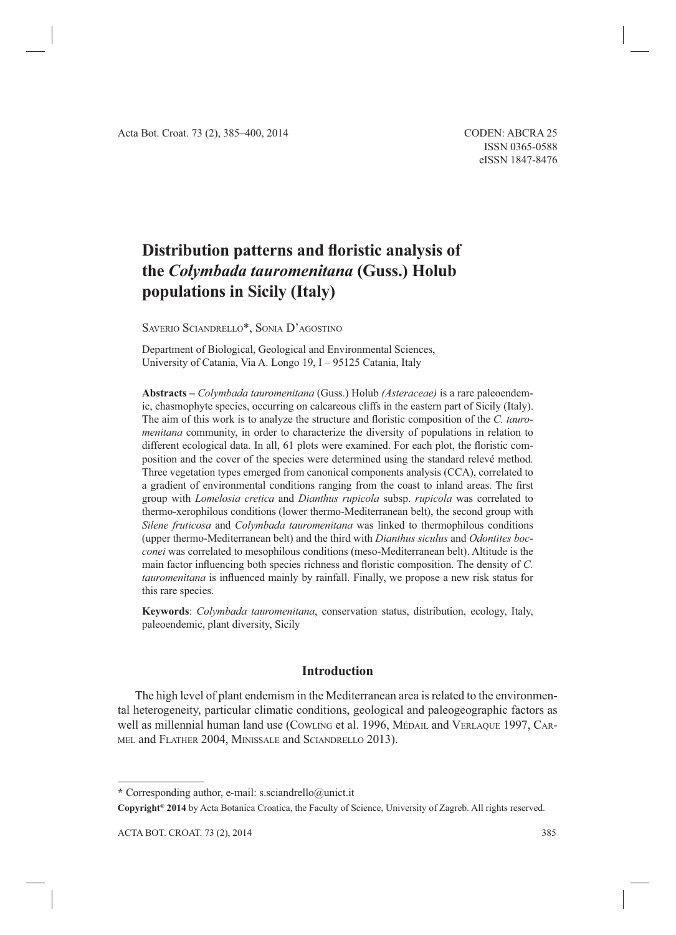# **Distribution patterns and floristic analysis of the** *Colymbada tauromenitana* **(Guss.) Holub populations in Sicily (Italy)**

SAVERIO SCIANDRELLO\*, SONIA D'AGOSTINO

Department of Biological, Geological and Environmental Sciences, University of Catania, Via A. Longo 19, I – 95125 Catania, Italy

**Abstracts –** *Colymbada tauromenitana* (Guss.) Holub *(Asteraceae)* is a rare paleoendemic, chasmophyte species, occurring on calcareous cliffs in the eastern part of Sicily (Italy). The aim of this work is to analyze the structure and floristic composition of the *C. tauromenitana* community, in order to characterize the diversity of populations in relation to different ecological data. In all, 61 plots were examined. For each plot, the floristic composition and the cover of the species were determined using the standard relevé method. Three vegetation types emerged from canonical components analysis (CCA), correlated to a gradient of environmental conditions ranging from the coast to inland areas. The first group with *Lomelosia cretica* and *Dianthus rupicola* subsp. *rupicola* was correlated to thermo-xerophilous conditions (lower thermo-Mediterranean belt), the second group with *Silene fruticosa* and *Colymbada tauromenitana* was linked to thermophilous conditions (upper thermo-Mediterranean belt) and the third with *Dianthus siculus* and *Odontites bocconei* was correlated to mesophilous conditions (meso-Mediterranean belt). Altitude is the main factor influencing both species richness and floristic composition. The density of *C*. *tauromenitana* is influenced mainly by rainfall. Finally, we propose a new risk status for this rare species.

**Keywords**: *Colymbada tauromenitana*, conservation status, distribution, ecology, Italy, paleoendemic, plant diversity, Sicily

# **Introduction**

The high level of plant endemism in the Mediterranean area is related to the environmental heterogeneity, particular climatic conditions, geological and paleogeographic factors as well as millennial human land use (COWLING et al. 1996, MÉDAIL and VERLAQUE 1997, CAR-MEL and FLATHER 2004, MINISSALE and SCIANDRELLO 2013).

**\*** Corresponding author, e-mail: s.sciandrello@unict.it

**Copyright® 2014** by Acta Botanica Croatica, the Faculty of Science, University of Zagreb. All rights reserved.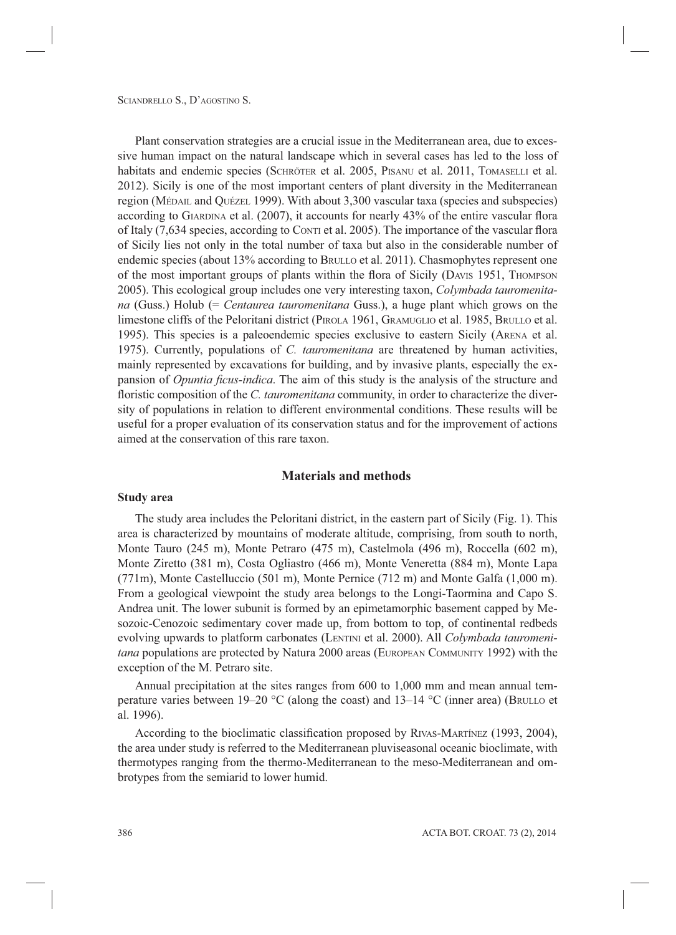Plant conservation strategies are a crucial issue in the Mediterranean area, due to excessive human impact on the natural landscape which in several cases has led to the loss of habitats and endemic species (SCHRÖTER et al. 2005, PISANU et al. 2011, TOMASELLI et al. 2012). Sicily is one of the most important centers of plant diversity in the Mediterranean region (MÉDAIL and QUÉZEL 1999). With about 3,300 vascular taxa (species and subspecies) according to GIARDINA et al.  $(2007)$ , it accounts for nearly 43% of the entire vascular flora of Italy  $(7,634$  species, according to CONTI et al. 2005). The importance of the vascular flora of Sicily lies not only in the total number of taxa but also in the considerable number of endemic species (about 13% according to BRULLO et al. 2011). Chasmophytes represent one of the most important groups of plants within the flora of Sicily (DAVIS 1951, THOMPSON 2005). This ecological group includes one very interesting taxon, *Colymbada tauromenitana* (Guss.) Holub (= *Centaurea tauromenitana* Guss.), a huge plant which grows on the limestone cliffs of the Peloritani district (PIROLA 1961, GRAMUGLIO et al. 1985, BRULLO et al. 1995). This species is a paleoendemic species exclusive to eastern Sicily (ARENA et al. 1975). Currently, populations of *C. tauromenitana* are threatened by human activities, mainly represented by excavations for building, and by invasive plants, especially the expansion of *Opuntia ficus-indica*. The aim of this study is the analysis of the structure and floristic composition of the *C. tauromenitana* community, in order to characterize the diversity of populations in relation to different environmental conditions. These results will be useful for a proper evaluation of its conservation status and for the improvement of actions aimed at the conservation of this rare taxon.

## **Materials and methods**

#### **Study area**

The study area includes the Peloritani district, in the eastern part of Sicily (Fig. 1). This area is characterized by mountains of moderate altitude, comprising, from south to north, Monte Tauro (245 m), Monte Petraro (475 m), Castelmola (496 m), Roccella (602 m), Monte Ziretto (381 m), Costa Ogliastro (466 m), Monte Veneretta (884 m), Monte Lapa (771m), Monte Castelluccio (501 m), Monte Pernice (712 m) and Monte Galfa (1,000 m). From a geological viewpoint the study area belongs to the Longi-Taormina and Capo S. Andrea unit. The lower subunit is formed by an epimetamorphic basement capped by Mesozoic-Cenozoic sedimentary cover made up, from bottom to top, of continental redbeds evolving upwards to platform carbonates (LENTINI et al. 2000). All *Colymbada tauromenitana* populations are protected by Natura 2000 areas (EUROPEAN COMMUNITY 1992) with the exception of the M. Petraro site.

Annual precipitation at the sites ranges from 600 to 1,000 mm and mean annual temperature varies between 19–20 °C (along the coast) and 13–14 °C (inner area) (BRULLO et al. 1996).

According to the bioclimatic classification proposed by RIVAS-MARTÍNEZ (1993, 2004), the area under study is referred to the Mediterranean pluviseasonal oceanic bioclimate, with thermotypes ranging from the thermo-Mediterranean to the meso-Mediterranean and ombrotypes from the semiarid to lower humid.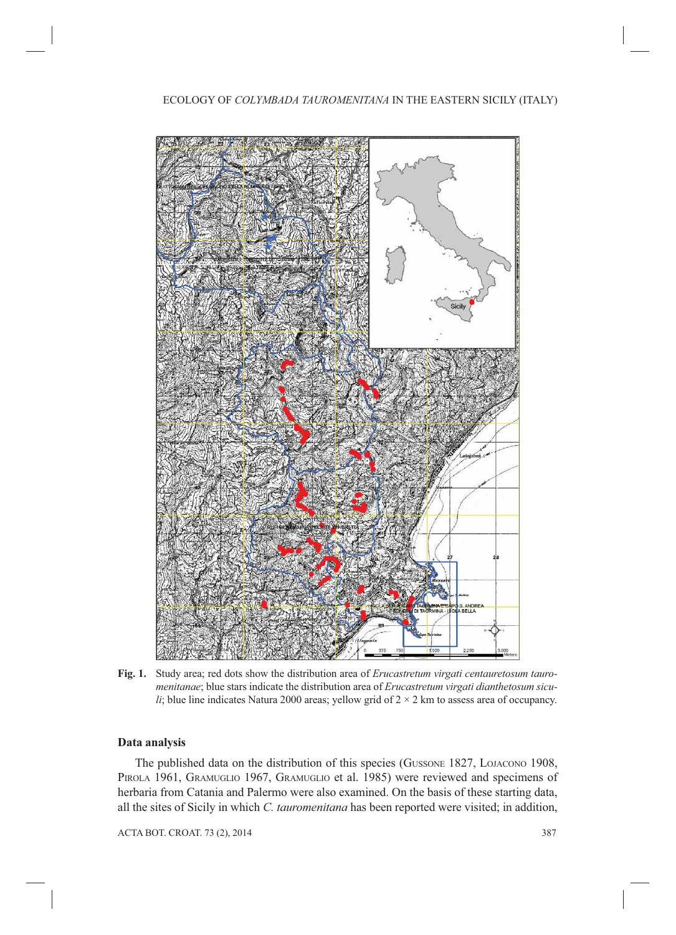

**Fig. 1.** Study area; red dots show the distribution area of *Erucastretum virgati centauretosum tauromenitanae*; blue stars indicate the distribution area of *Erucastretum virgati dianthetosum siculi*; blue line indicates Natura 2000 areas; yellow grid of  $2 \times 2$  km to assess area of occupancy.

# **Data analysis**

The published data on the distribution of this species (GUSSONE 1827, LOJACONO 1908, PIROLA 1961, GRAMUGLIO 1967, GRAMUGLIO et al. 1985) were reviewed and specimens of herbaria from Catania and Palermo were also examined. On the basis of these starting data, all the sites of Sicily in which *C. tauromenitana* has been reported were visited; in addition,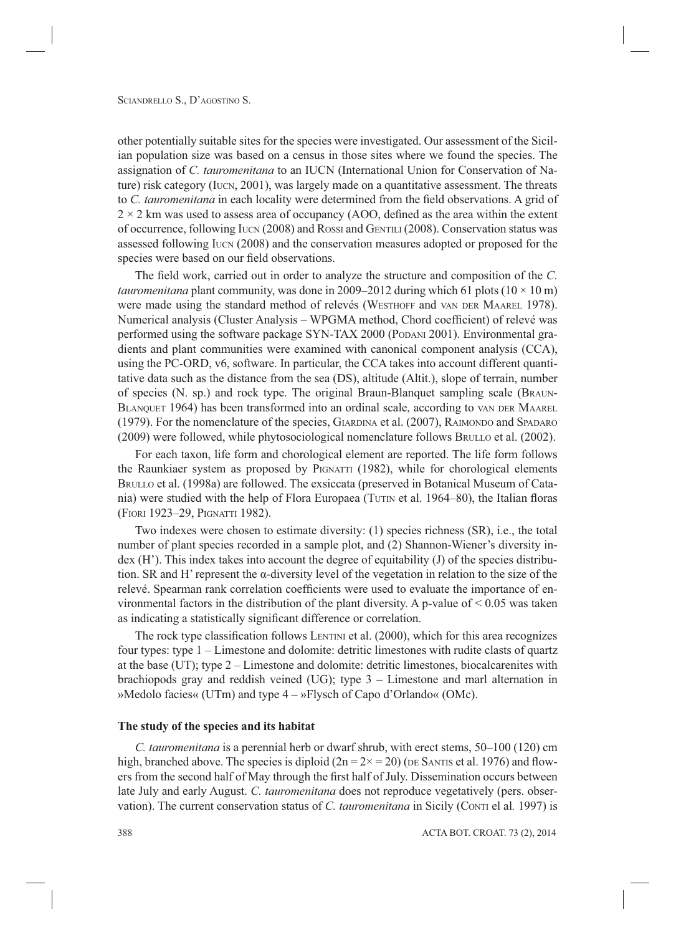other potentially suitable sites for the species were investigated. Our assessment of the Sicilian population size was based on a census in those sites where we found the species. The assignation of *C. tauromenitana* to an IUCN (International Union for Conservation of Nature) risk category (IUCN, 2001), was largely made on a quantitative assessment. The threats to *C. tauromenitana* in each locality were determined from the field observations. A grid of  $2 \times 2$  km was used to assess area of occupancy (AOO, defined as the area within the extent of occurrence, following IUCN (2008) and ROSSI and GENTILI (2008). Conservation status was assessed following IUCN (2008) and the conservation measures adopted or proposed for the species were based on our field observations.

The field work, carried out in order to analyze the structure and composition of the *C*. *tauromenitana* plant community, was done in 2009–2012 during which 61 plots ( $10 \times 10$  m) were made using the standard method of relevés (WESTHOFF and VAN DER MAAREL 1978). Numerical analysis (Cluster Analysis – WPGMA method, Chord coefficient) of relevé was performed using the software package SYN-TAX 2000 (PODANI 2001). Environmental gradients and plant communities were examined with canonical component analysis (CCA), using the PC-ORD, v6, software. In particular, the CCA takes into account different quantitative data such as the distance from the sea (DS), altitude (Altit.), slope of terrain, number of species (N. sp.) and rock type. The original Braun-Blanquet sampling scale (BRAUN-BLANQUET 1964) has been transformed into an ordinal scale, according to VAN DER MAAREL (1979). For the nomenclature of the species, GIARDINA et al. (2007), RAIMONDO and SPADARO (2009) were followed, while phytosociological nomenclature follows BRULLO et al. (2002).

For each taxon, life form and chorological element are reported. The life form follows the Raunkiaer system as proposed by PIGNATTI (1982), while for chorological elements BRULLO et al. (1998a) are followed. The exsiccata (preserved in Botanical Museum of Catania) were studied with the help of Flora Europaea (TUTIN et al. 1964–80), the Italian floras (FIORI 1923–29, PIGNATTI 1982).

Two indexes were chosen to estimate diversity: (1) species richness (SR), i.e., the total number of plant species recorded in a sample plot, and (2) Shannon-Wiener's diversity index (H'). This index takes into account the degree of equitability (J) of the species distribution. SR and H' represent the α-diversity level of the vegetation in relation to the size of the relevé. Spearman rank correlation coefficients were used to evaluate the importance of environmental factors in the distribution of the plant diversity. A p-value of  $\leq 0.05$  was taken as indicating a statistically significant difference or correlation.

The rock type classification follows LENTINI et al. (2000), which for this area recognizes four types: type 1 – Limestone and dolomite: detritic limestones with rudite clasts of quartz at the base (UT); type 2 – Limestone and dolomite: detritic limestones, biocalcarenites with brachiopods gray and reddish veined (UG); type 3 – Limestone and marl alternation in »Medolo facies« (UTm) and type 4 – »Flysch of Capo d'Orlando« (OMc).

## **The study of the species and its habitat**

*C. tauromenitana* is a perennial herb or dwarf shrub, with erect stems, 50–100 (120) cm high, branched above. The species is diploid  $(2n = 2 \times 20)$  (DE SANTIS et al. 1976) and flowers from the second half of May through the first half of July. Dissemination occurs between late July and early August. *C. tauromenitana* does not reproduce vegetatively (pers. observation). The current conservation status of *C. tauromenitana* in Sicily (CONTI el al*.* 1997) is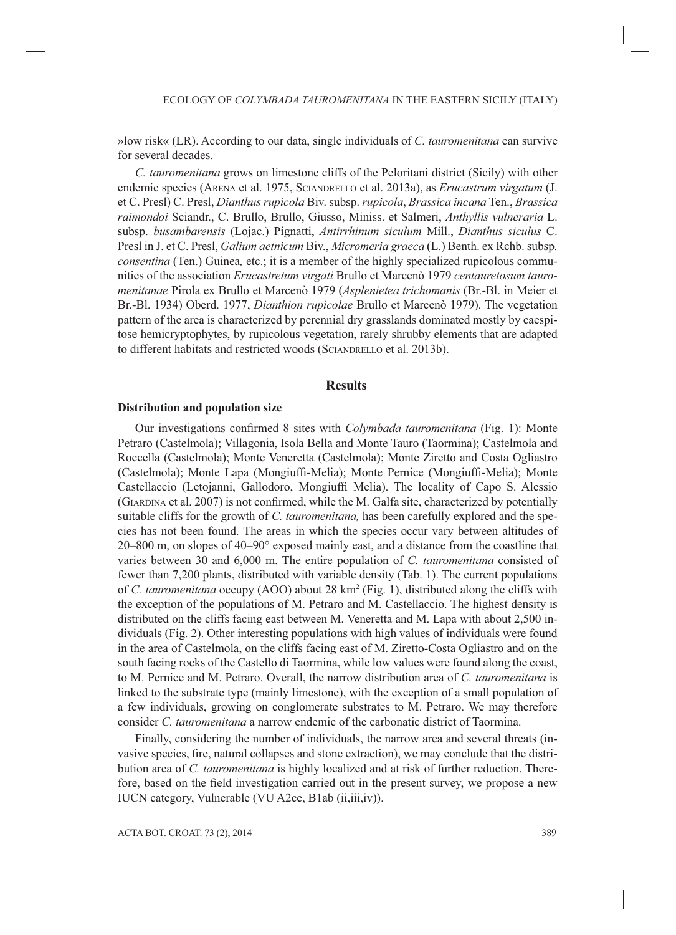»low risk« (LR). According to our data, single individuals of *C. tauromenitana* can survive for several decades.

*C. tauromenitana* grows on limestone cliffs of the Peloritani district (Sicily) with other endemic species (ARENA et al. 1975, SCIANDRELLO et al. 2013a), as *Erucastrum virgatum* (J. et C. Presl) C. Presl, *Dianthus rupicola* Biv. subsp. *rupicola*, *Brassica incana* Ten., *Brassica raimondoi* Sciandr., C. Brullo, Brullo, Giusso, Miniss. et Salmeri, *Anthyllis vulneraria* L. subsp. *busambarensis* (Lojac.) Pignatti, *Antirrhinum siculum* Mill., *Dianthus siculus* C. Presl in J. et C. Presl, *Galium aetnicum* Biv., *Micromeria graeca* (L.) Benth. ex Rchb. subsp*. consentina* (Ten.) Guinea*,* etc.; it is a member of the highly specialized rupicolous communities of the association *Erucastretum virgati* Brullo et Marcenò 1979 *centauretosum tauromenitanae* Pirola ex Brullo et Marcenò 1979 (*Asplenietea trichomanis* (Br.-Bl. in Meier et Br.-Bl. 1934) Oberd. 1977, *Dianthion rupicolae* Brullo et Marcenò 1979). The vegetation pattern of the area is characterized by perennial dry grasslands dominated mostly by caespitose hemicryptophytes, by rupicolous vegetation, rarely shrubby elements that are adapted to different habitats and restricted woods (SCIANDRELLO et al. 2013b).

## **Results**

#### **Distribution and population size**

Our investigations confirmed 8 sites with *Colymbada tauromenitana* (Fig. 1): Monte Petraro (Castelmola); Villagonia, Isola Bella and Monte Tauro (Taormina); Castelmola and Roccella (Castelmola); Monte Veneretta (Castelmola); Monte Ziretto and Costa Ogliastro (Castelmola); Monte Lapa (Mongiuffi -Melia); Monte Pernice (Mongiuffi -Melia); Monte Castellaccio (Letojanni, Gallodoro, Mongiuffi Melia). The locality of Capo S. Alessio (GIARDINA et al. 2007) is not confirmed, while the M. Galfa site, characterized by potentially suitable cliffs for the growth of *C. tauromenitana,* has been carefully explored and the species has not been found. The areas in which the species occur vary between altitudes of 20–800 m, on slopes of 40–90° exposed mainly east, and a distance from the coastline that varies between 30 and 6,000 m. The entire population of *C. tauromenitana* consisted of fewer than 7,200 plants, distributed with variable density (Tab. 1). The current populations of *C. tauromenitana* occupy (AOO) about 28 km<sup>2</sup> (Fig. 1), distributed along the cliffs with the exception of the populations of M. Petraro and M. Castellaccio. The highest density is distributed on the cliffs facing east between M. Veneretta and M. Lapa with about 2,500 individuals (Fig. 2). Other interesting populations with high values of individuals were found in the area of Castelmola, on the cliffs facing east of M. Ziretto-Costa Ogliastro and on the south facing rocks of the Castello di Taormina, while low values were found along the coast, to M. Pernice and M. Petraro. Overall, the narrow distribution area of *C. tauromenitana* is linked to the substrate type (mainly limestone), with the exception of a small population of a few individuals, growing on conglomerate substrates to M. Petraro. We may therefore consider *C. tauromenitana* a narrow endemic of the carbonatic district of Taormina.

Finally, considering the number of individuals, the narrow area and several threats (invasive species, fire, natural collapses and stone extraction), we may conclude that the distribution area of *C. tauromenitana* is highly localized and at risk of further reduction. Therefore, based on the field investigation carried out in the present survey, we propose a new IUCN category, Vulnerable (VU A2ce, B1ab (ii,iii,iv)).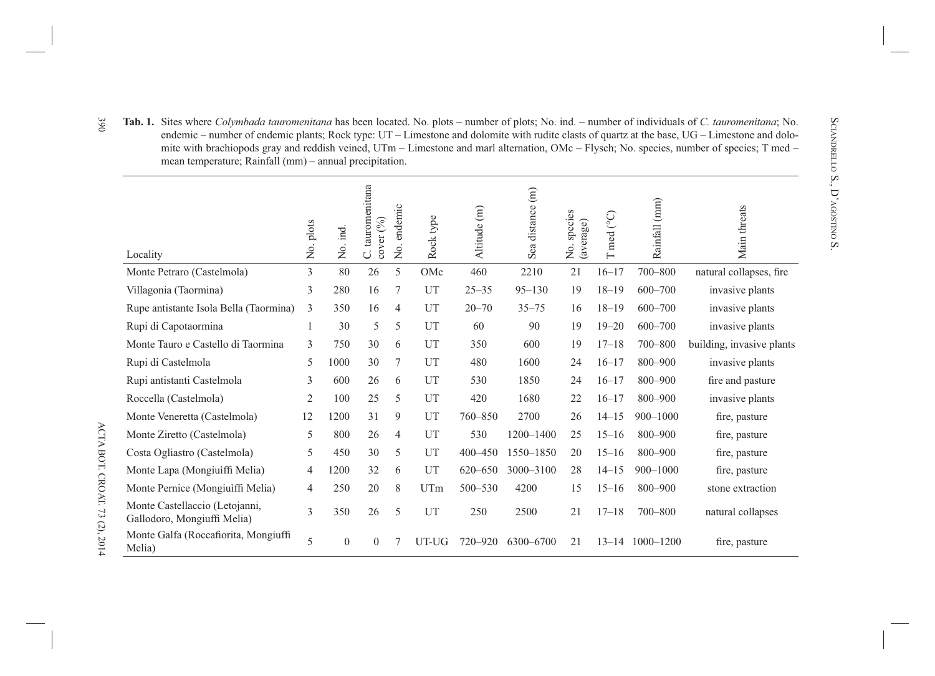| endemic – number of endemic plants; Rock type: $UT$ – Limestone and dolomite with rudite clasts of quartz at the base, $UG$ – Limestone and dolo-<br>mite with brachiopods gray and reddish veined, UTm – Limestone and marl alternation, OMc – Flysch; No. species, number of species; T med –<br>mean temperature; Rainfall (mm) – annual precipitation. |                |              |                               |             |           |              |                  |                          |            |                 |                           |
|------------------------------------------------------------------------------------------------------------------------------------------------------------------------------------------------------------------------------------------------------------------------------------------------------------------------------------------------------------|----------------|--------------|-------------------------------|-------------|-----------|--------------|------------------|--------------------------|------------|-----------------|---------------------------|
| Locality                                                                                                                                                                                                                                                                                                                                                   | No. plots      | No. ind.     | C. tauromenitana<br>cover (%) | No. endemic | Rock type | Altitude (m) | Sea distance (m) | No. species<br>(average) | T med (°C) | Rainfall (mm)   | Main threats              |
| Monte Petraro (Castelmola)                                                                                                                                                                                                                                                                                                                                 | 3              | 80           | 26                            | 5           | OMc       | 460          | 2210             | 21                       | $16 - 17$  | 700-800         | natural collapses, fire   |
| Villagonia (Taormina)                                                                                                                                                                                                                                                                                                                                      | 3              | 280          | 16                            | 7           | UT        | $25 - 35$    | $95 - 130$       | 19                       | $18 - 19$  | 600-700         | invasive plants           |
| Rupe antistante Isola Bella (Taormina)                                                                                                                                                                                                                                                                                                                     | 3              | 350          | 16                            | 4           | UT        | $20 - 70$    | $35 - 75$        | 16                       | $18 - 19$  | 600-700         | invasive plants           |
| Rupi di Capotaormina                                                                                                                                                                                                                                                                                                                                       | 1              | 30           | 5                             | 5           | UT        | 60           | 90               | 19                       | $19 - 20$  | $600 - 700$     | invasive plants           |
| Monte Tauro e Castello di Taormina                                                                                                                                                                                                                                                                                                                         | 3              | 750          | 30                            | 6           | UT        | 350          | 600              | 19                       | $17 - 18$  | 700-800         | building, invasive plants |
| Rupi di Castelmola                                                                                                                                                                                                                                                                                                                                         | 5              | 1000         | 30                            | 7           | UT        | 480          | 1600             | 24                       | $16 - 17$  | 800-900         | invasive plants           |
| Rupi antistanti Castelmola                                                                                                                                                                                                                                                                                                                                 | 3              | 600          | 26                            | 6           | UT        | 530          | 1850             | 24                       | $16 - 17$  | 800-900         | fire and pasture          |
| Roccella (Castelmola)                                                                                                                                                                                                                                                                                                                                      | $\overline{2}$ | 100          | 25                            | 5           | UT        | 420          | 1680             | 22                       | $16 - 17$  | 800-900         | invasive plants           |
| Monte Veneretta (Castelmola)                                                                                                                                                                                                                                                                                                                               | 12             | 1200         | 31                            | 9           | UT        | 760-850      | 2700             | 26                       | $14 - 15$  | $900 - 1000$    | fire, pasture             |
| Monte Ziretto (Castelmola)                                                                                                                                                                                                                                                                                                                                 | 5              | 800          | 26                            | 4           | UT        | 530          | 1200-1400        | 25                       | $15 - 16$  | 800-900         | fire, pasture             |
| Costa Ogliastro (Castelmola)                                                                                                                                                                                                                                                                                                                               | 5              | 450          | 30                            | 5           | UT        | 400-450      | 1550-1850        | 20                       | $15 - 16$  | 800-900         | fire, pasture             |
| Monte Lapa (Mongiuìffi Melia)                                                                                                                                                                                                                                                                                                                              | 4              | 1200         | 32                            | 6           | UT        | 620-650      | 3000-3100        | 28                       | $14 - 15$  | $900 - 1000$    | fire, pasture             |
| Monte Pernice (Mongiuiffi Melia)                                                                                                                                                                                                                                                                                                                           | $\overline{4}$ | 250          | 20                            | 8           | UTm       | 500-530      | 4200             | 15                       | $15 - 16$  | 800-900         | stone extraction          |
| Monte Castellaccio (Letojanni,<br>Gallodoro, Mongiuffi Melia)                                                                                                                                                                                                                                                                                              | 3              | 350          | 26                            | 5           | UT        | 250          | 2500             | 21                       | $17 - 18$  | 700-800         | natural collapses         |
| Monte Galfa (Roccafiorita, Mongiuffi<br>Melia)                                                                                                                                                                                                                                                                                                             | 5              | $\mathbf{0}$ | $\Omega$                      |             | UT-UG     | 720-920      | 6300-6700        | 21                       |            | 13-14 1000-1200 | fire, pasture             |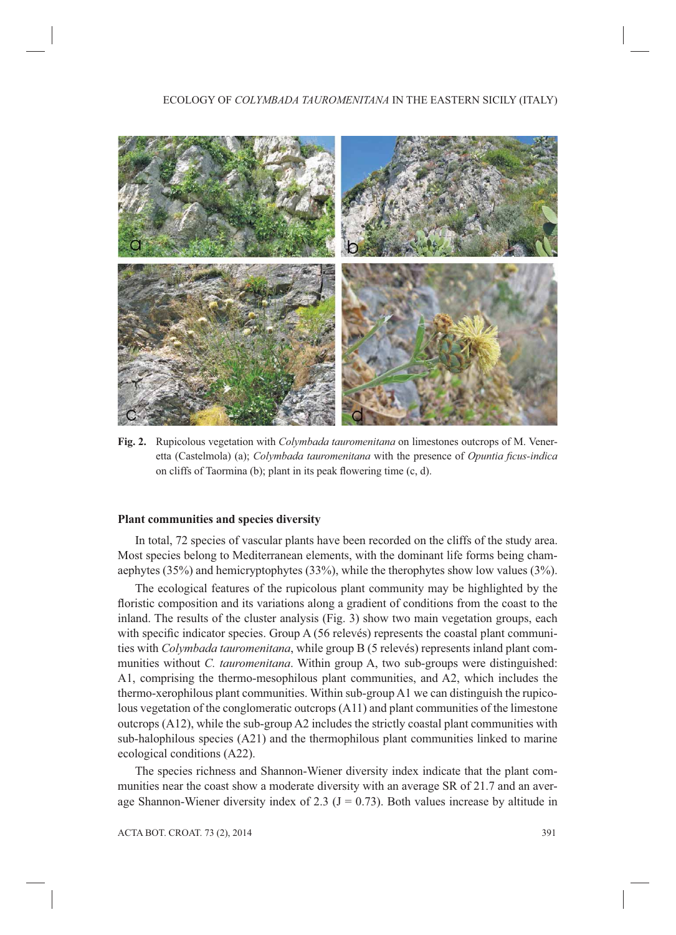

**Fig. 2.** Rupicolous vegetation with *Colymbada tauromenitana* on limestones outcrops of M. Veneretta (Castelmola) (a); *Colymbada tauromenitana* with the presence of *Opuntia ficus-indica* on cliffs of Taormina (b); plant in its peak flowering time  $(c, d)$ .

## **Plant communities and species diversity**

In total, 72 species of vascular plants have been recorded on the cliffs of the study area. Most species belong to Mediterranean elements, with the dominant life forms being chamaephytes (35%) and hemicryptophytes (33%), while the therophytes show low values (3%).

The ecological features of the rupicolous plant community may be highlighted by the floristic composition and its variations along a gradient of conditions from the coast to the inland. The results of the cluster analysis (Fig. 3) show two main vegetation groups, each with specific indicator species. Group  $A(56$  relevés) represents the coastal plant communities with *Colymbada tauromenitana*, while group B (5 relevés) represents inland plant communities without *C. tauromenitana*. Within group A, two sub-groups were distinguished: A1, comprising the thermo-mesophilous plant communities, and A2, which includes the thermo-xerophilous plant communities. Within sub-group A1 we can distinguish the rupicolous vegetation of the conglomeratic outcrops (A11) and plant communities of the limestone outcrops (A12), while the sub-group A2 includes the strictly coastal plant communities with sub-halophilous species (A21) and the thermophilous plant communities linked to marine ecological conditions (A22).

The species richness and Shannon-Wiener diversity index indicate that the plant communities near the coast show a moderate diversity with an average SR of 21.7 and an average Shannon-Wiener diversity index of 2.3 ( $J = 0.73$ ). Both values increase by altitude in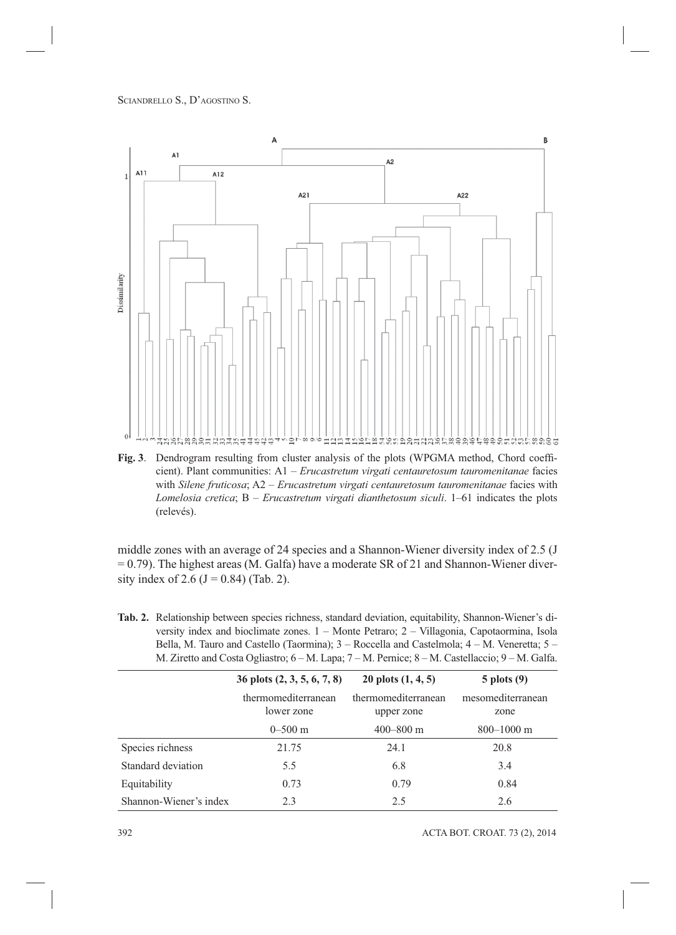

**Fig. 3**. Dendrogram resulting from cluster analysis of the plots (WPGMA method, Chord coefficient). Plant communities: A1 – *Erucastretum virgati centauretosum tauromenitanae* facies with *Silene fruticosa*; A2 – *Erucastretum virgati centauretosum tauromenitanae* facies with *Lomelosia cretica*; B – *Erucastretum virgati dianthetosum siculi*. 1–61 indicates the plots (relevés).

middle zones with an average of 24 species and a Shannon-Wiener diversity index of 2.5 (J = 0.79). The highest areas (M. Galfa) have a moderate SR of 21 and Shannon-Wiener diversity index of 2.6 ( $J = 0.84$ ) (Tab. 2).

| <b>Tab. 2.</b> Relationship between species richness, standard deviation, equitability, Shannon-Wiener's di- |
|--------------------------------------------------------------------------------------------------------------|
| versity index and bioclimate zones. $1 -$ Monte Petraro; $2 -$ Villagonia, Capotaormina, Isola               |
| Bella, M. Tauro and Castello (Taormina); $3 -$ Roccella and Castelmola; $4 -$ M. Veneretta; $5 -$            |
| M. Ziretto and Costa Ogliastro; $6-M$ . Lapa; $7-M$ . Pernice; $8-M$ . Castellaccio; $9-M$ . Galfa.          |

|                        | 36 plots (2, 3, 5, 6, 7, 8)       | 20 plots $(1, 4, 5)$              | $5$ plots $(9)$           |
|------------------------|-----------------------------------|-----------------------------------|---------------------------|
|                        | thermomediterranean<br>lower zone | thermomediterranean<br>upper zone | mesomediterranean<br>zone |
|                        | $0 - 500$ m                       | $400 - 800$ m                     | $800 - 1000$ m            |
| Species richness       | 21.75                             | 24.1                              | 20.8                      |
| Standard deviation     | 5.5                               | 6.8                               | 3.4                       |
| Equitability           | 0.73                              | 0.79                              | 0.84                      |
| Shannon-Wiener's index | 2.3                               | 2.5                               | 2.6                       |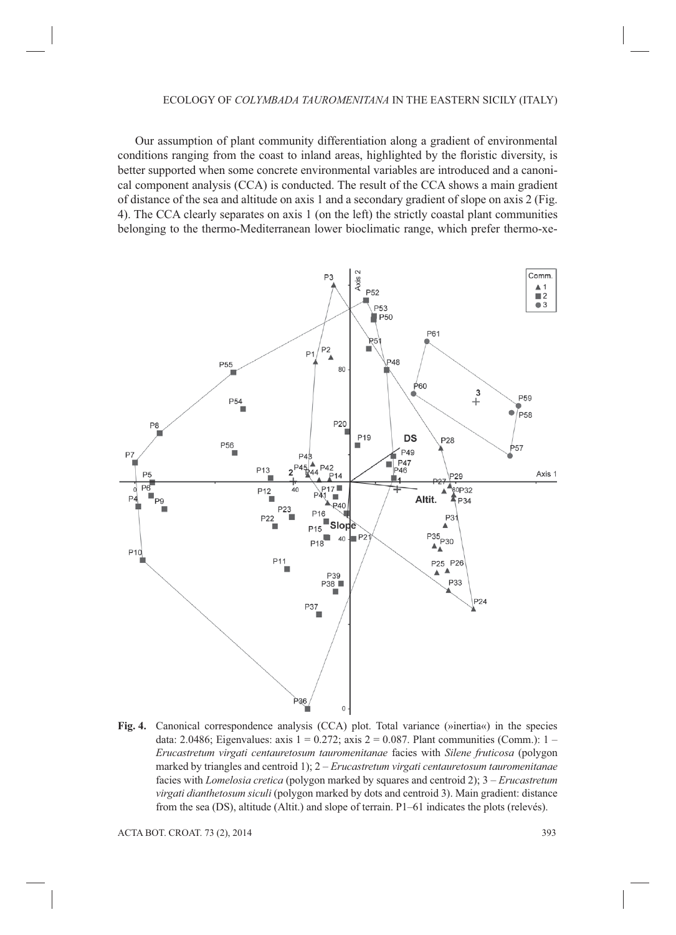#### ECOLOGY OF *COLYMBADA TAUROMENITANA* IN THE EASTERN SICILY (ITALY)

Our assumption of plant community differentiation along a gradient of environmental conditions ranging from the coast to inland areas, highlighted by the floristic diversity, is better supported when some concrete environmental variables are introduced and a canonical component analysis (CCA) is conducted. The result of the CCA shows a main gradient of distance of the sea and altitude on axis 1 and a secondary gradient of slope on axis 2 (Fig. 4). The CCA clearly separates on axis 1 (on the left) the strictly coastal plant communities belonging to the thermo-Mediterranean lower bioclimatic range, which prefer thermo-xe-



**Fig. 4.** Canonical correspondence analysis (CCA) plot. Total variance (»inertia«) in the species data: 2.0486; Eigenvalues: axis  $1 = 0.272$ ; axis  $2 = 0.087$ . Plant communities (Comm.):  $1 -$ *Erucastretum virgati centauretosum tauromenitanae* facies with *Silene fruticosa* (polygon marked by triangles and centroid 1); 2 – *Erucastretum virgati centauretosum tauromenitanae* facies with *Lomelosia cretica* (polygon marked by squares and centroid 2); 3 – *Erucastretum virgati dianthetosum siculi* (polygon marked by dots and centroid 3). Main gradient: distance from the sea (DS), altitude (Altit.) and slope of terrain. P1–61 indicates the plots (relevés).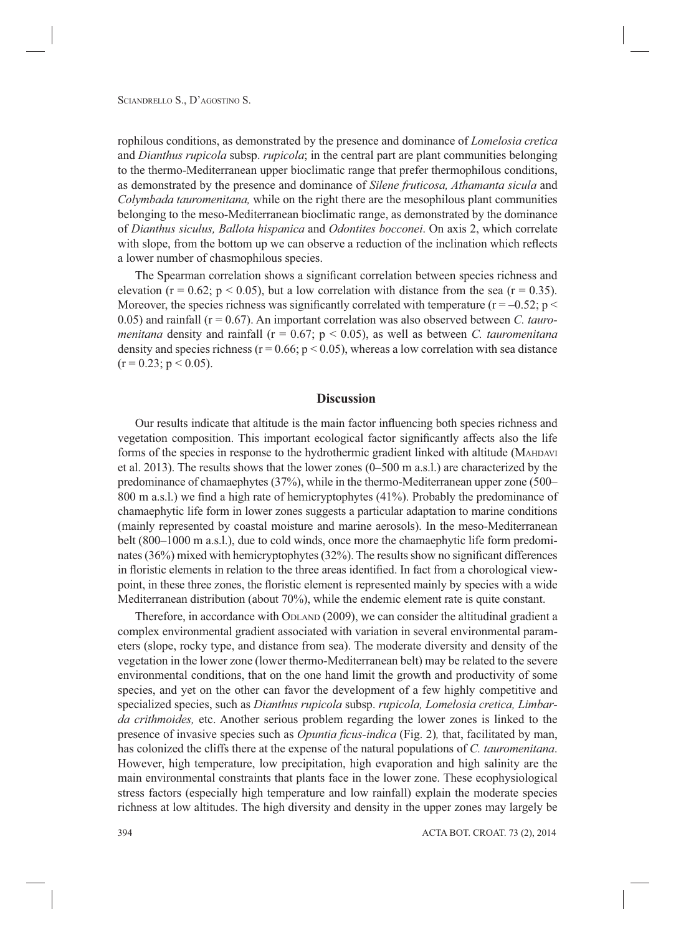rophilous conditions, as demonstrated by the presence and dominance of *Lomelosia cretica*  and *Dianthus rupicola* subsp. *rupicola*; in the central part are plant communities belonging to the thermo-Mediterranean upper bioclimatic range that prefer thermophilous conditions, as demonstrated by the presence and dominance of *Silene fruticosa, Athamanta sicula* and *Colymbada tauromenitana,* while on the right there are the mesophilous plant communities belonging to the meso-Mediterranean bioclimatic range, as demonstrated by the dominance of *Dianthus siculus, Ballota hispanica* and *Odontites bocconei*. On axis 2, which correlate with slope, from the bottom up we can observe a reduction of the inclination which reflects a lower number of chasmophilous species.

The Spearman correlation shows a significant correlation between species richness and elevation ( $r = 0.62$ ;  $p < 0.05$ ), but a low correlation with distance from the sea ( $r = 0.35$ ). Moreover, the species richness was significantly correlated with temperature ( $r = -0.52$ ;  $p <$ 0.05) and rainfall (r = 0.67). An important correlation was also observed between *C. tauromenitana* density and rainfall ( $r = 0.67$ ;  $p < 0.05$ ), as well as between *C. tauromenitana* density and species richness ( $r = 0.66$ ;  $p < 0.05$ ), whereas a low correlation with sea distance  $(r = 0.23; p \le 0.05)$ .

# **Discussion**

Our results indicate that altitude is the main factor influencing both species richness and vegetation composition. This important ecological factor significantly affects also the life forms of the species in response to the hydrothermic gradient linked with altitude (MAHDAVI et al. 2013). The results shows that the lower zones (0–500 m a.s.l.) are characterized by the predominance of chamaephytes (37%), while in the thermo-Mediterranean upper zone (500– 800 m a.s.l.) we find a high rate of hemicryptophytes  $(41\%)$ . Probably the predominance of chamaephytic life form in lower zones suggests a particular adaptation to marine conditions (mainly represented by coastal moisture and marine aerosols). In the meso-Mediterranean belt (800–1000 m a.s.l.), due to cold winds, once more the chamaephytic life form predominates  $(36%)$  mixed with hemicryptophytes  $(32%)$ . The results show no significant differences in floristic elements in relation to the three areas identified. In fact from a chorological viewpoint, in these three zones, the floristic element is represented mainly by species with a wide Mediterranean distribution (about 70%), while the endemic element rate is quite constant.

Therefore, in accordance with ODLAND (2009), we can consider the altitudinal gradient a complex environmental gradient associated with variation in several environmental parameters (slope, rocky type, and distance from sea). The moderate diversity and density of the vegetation in the lower zone (lower thermo-Mediterranean belt) may be related to the severe environmental conditions, that on the one hand limit the growth and productivity of some species, and yet on the other can favor the development of a few highly competitive and specialized species, such as *Dianthus rupicola* subsp. *rupicola, Lomelosia cretica, Limbarda crithmoides,* etc. Another serious problem regarding the lower zones is linked to the presence of invasive species such as *Opuntia ficus-indica* (Fig. 2), that, facilitated by man, has colonized the cliffs there at the expense of the natural populations of *C. tauromenitana*. However, high temperature, low precipitation, high evaporation and high salinity are the main environmental constraints that plants face in the lower zone. These ecophysiological stress factors (especially high temperature and low rainfall) explain the moderate species richness at low altitudes. The high diversity and density in the upper zones may largely be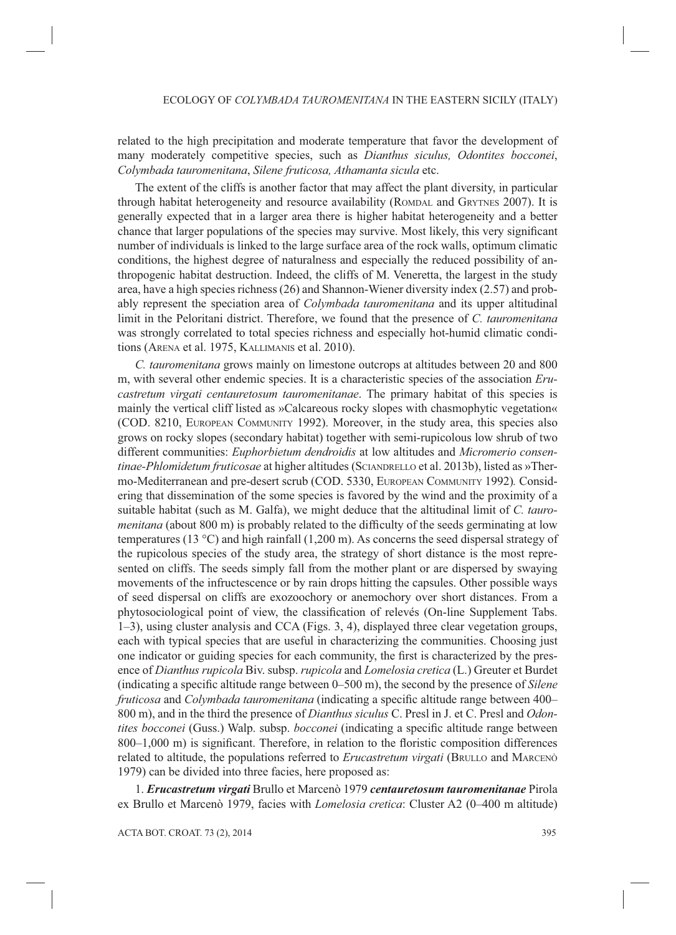related to the high precipitation and moderate temperature that favor the development of many moderately competitive species, such as *Dianthus siculus, Odontites bocconei*, *Colymbada tauromenitana*, *Silene fruticosa, Athamanta sicula* etc.

The extent of the cliffs is another factor that may affect the plant diversity, in particular through habitat heterogeneity and resource availability (ROMDAL and GRYTNES 2007). It is generally expected that in a larger area there is higher habitat heterogeneity and a better chance that larger populations of the species may survive. Most likely, this very significant number of individuals is linked to the large surface area of the rock walls, optimum climatic conditions, the highest degree of naturalness and especially the reduced possibility of anthropogenic habitat destruction. Indeed, the cliffs of M. Veneretta, the largest in the study area, have a high species richness (26) and Shannon-Wiener diversity index (2.57) and probably represent the speciation area of *Colymbada tauromenitana* and its upper altitudinal limit in the Peloritani district. Therefore, we found that the presence of *C. tauromenitana* was strongly correlated to total species richness and especially hot-humid climatic conditions (ARENA et al. 1975, KALLIMANIS et al. 2010).

*C. tauromenitana* grows mainly on limestone outcrops at altitudes between 20 and 800 m, with several other endemic species. It is a characteristic species of the association *Erucastretum virgati centauretosum tauromenitanae*. The primary habitat of this species is mainly the vertical cliff listed as »Calcareous rocky slopes with chasmophytic vegetation« (COD. 8210, EUROPEAN COMMUNITY 1992). Moreover, in the study area, this species also grows on rocky slopes (secondary habitat) together with semi-rupicolous low shrub of two different communities: *Euphorbietum dendroidis* at low altitudes and *Micromerio consentinae-Phlomidetum fruticosae* at higher altitudes (SCIANDRELLO et al. 2013b), listed as »Thermo-Mediterranean and pre-desert scrub (COD. 5330, EUROPEAN COMMUNITY 1992)*.* Considering that dissemination of the some species is favored by the wind and the proximity of a suitable habitat (such as M. Galfa), we might deduce that the altitudinal limit of *C. tauromenitana* (about 800 m) is probably related to the difficulty of the seeds germinating at low temperatures (13 °C) and high rainfall (1,200 m). As concerns the seed dispersal strategy of the rupicolous species of the study area, the strategy of short distance is the most represented on cliffs. The seeds simply fall from the mother plant or are dispersed by swaying movements of the infructescence or by rain drops hitting the capsules. Other possible ways of seed dispersal on cliffs are exozoochory or anemochory over short distances. From a phytosociological point of view, the classification of relevés (On-line Supplement Tabs. 1–3), using cluster analysis and CCA (Figs. 3, 4), displayed three clear vegetation groups, each with typical species that are useful in characterizing the communities. Choosing just one indicator or guiding species for each community, the first is characterized by the presence of *Dianthus rupicola* Biv. subsp. *rupicola* and *Lomelosia cretica* (L.) Greuter et Burdet (indicating a specific altitude range between 0–500 m), the second by the presence of *Silene fruticosa* and *Colymbada tauromenitana* (indicating a specific altitude range between 400– 800 m), and in the third the presence of *Dianthus siculus* C. Presl in J. et C. Presl and *Odontites bocconei* (Guss.) Walp. subsp. *bocconei* (indicating a specific altitude range between  $800-1,000$  m) is significant. Therefore, in relation to the floristic composition differences related to altitude, the populations referred to *Erucastretum virgati* (BRULLO and MARCENÒ 1979) can be divided into three facies, here proposed as:

1. *Erucastretum virgati* Brullo et Marcenò 1979 *centauretosum tauromenitanae* Pirola ex Brullo et Marcenò 1979, facies with *Lomelosia cretica*: Cluster A2 (0–400 m altitude)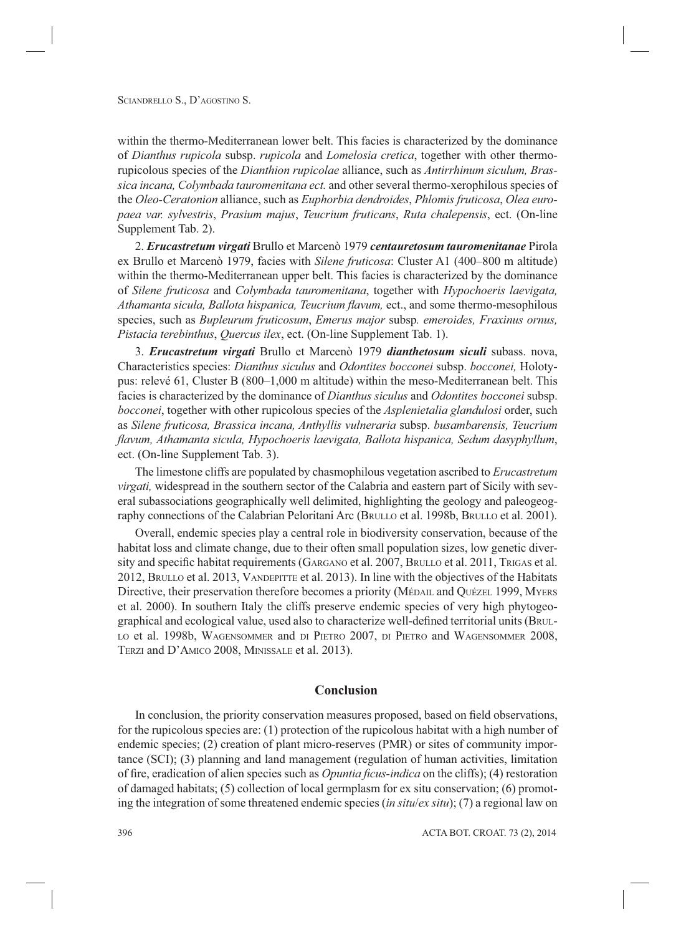within the thermo-Mediterranean lower belt. This facies is characterized by the dominance of *Dianthus rupicola* subsp. *rupicola* and *Lomelosia cretica*, together with other thermorupicolous species of the *Dianthion rupicolae* alliance, such as *Antirrhinum siculum, Brassica incana, Colymbada tauromenitana ect.* and other several thermo-xerophilous species of the *Oleo-Ceratonion* alliance, such as *Euphorbia dendroides*, *Phlomis fruticosa*, *Olea europaea var. sylvestris*, *Prasium majus*, *Teucrium fruticans*, *Ruta chalepensis*, ect. (On-line Supplement Tab. 2).

2. *Erucastretum virgati* Brullo et Marcenò 1979 *centauretosum tauromenitanae* Pirola ex Brullo et Marcenò 1979, facies with *Silene fruticosa*: Cluster A1 (400–800 m altitude) within the thermo-Mediterranean upper belt. This facies is characterized by the dominance of *Silene fruticosa* and *Colymbada tauromenitana*, together with *Hypochoeris laevigata, Athamanta sicula, Ballota hispanica, Teucrium flavum, ect., and some thermo-mesophilous* species, such as *Bupleurum fruticosum*, *Emerus major* subsp*. emeroides, Fraxinus ornus, Pistacia terebinthus*, *Quercus ilex*, ect. (On-line Supplement Tab. 1).

3. *Erucastretum virgati* Brullo et Marcenò 1979 *dianthetosum siculi* subass. nova, Characteristics species: *Dianthus siculus* and *Odontites bocconei* subsp. *bocconei,* Holotypus: relevé 61, Cluster B (800–1,000 m altitude) within the meso-Mediterranean belt. This facies is characterized by the dominance of *Dianthus siculus* and *Odontites bocconei* subsp. *bocconei*, together with other rupicolous species of the *Asplenietalia glandulosi* order, such as *Silene fruticosa, Brassica incana, Anthyllis vulneraria* subsp. *busambarensis, Teucrium fl avum, Athamanta sicula, Hypochoeris laevigata, Ballota hispanica, Sedum dasyphyllum*, ect. (On-line Supplement Tab. 3).

The limestone cliffs are populated by chasmophilous vegetation ascribed to *Erucastretum virgati,* widespread in the southern sector of the Calabria and eastern part of Sicily with several subassociations geographically well delimited, highlighting the geology and paleogeography connections of the Calabrian Peloritani Arc (BRULLO et al. 1998b, BRULLO et al. 2001).

Overall, endemic species play a central role in biodiversity conservation, because of the habitat loss and climate change, due to their often small population sizes, low genetic diversity and specific habitat requirements (GARGANO et al. 2007, BRULLO et al. 2011, TRIGAS et al. 2012, BRULLO et al. 2013, VANDEPITTE et al. 2013). In line with the objectives of the Habitats Directive, their preservation therefore becomes a priority (MÉDAIL and QUÉZEL 1999, MYERS et al. 2000). In southern Italy the cliffs preserve endemic species of very high phytogeographical and ecological value, used also to characterize well-defined territorial units (BRUL-LO et al. 1998b, WAGENSOMMER and DI PIETRO 2007, DI PIETRO and WAGENSOMMER 2008, TERZI and D'AMICO 2008, MINISSALE et al. 2013).

# **Conclusion**

In conclusion, the priority conservation measures proposed, based on field observations, for the rupicolous species are: (1) protection of the rupicolous habitat with a high number of endemic species; (2) creation of plant micro-reserves (PMR) or sites of community importance (SCI); (3) planning and land management (regulation of human activities, limitation of fire, eradication of alien species such as *Opuntia ficus-indica* on the cliffs); (4) restoration of damaged habitats; (5) collection of local germplasm for ex situ conservation; (6) promoting the integration of some threatened endemic species (*in situ*/*ex situ*); (7) a regional law on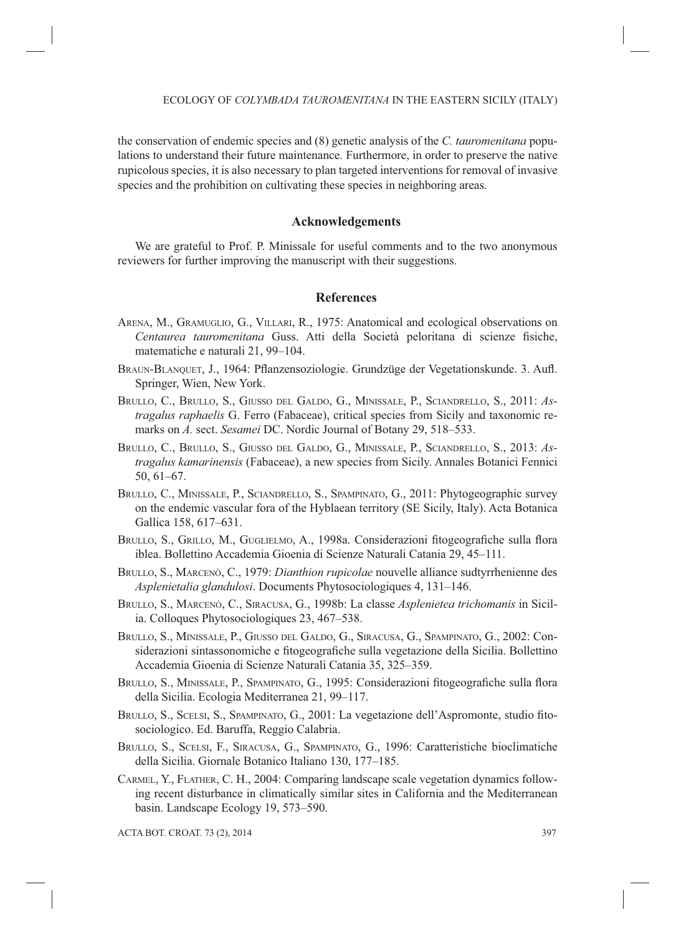the conservation of endemic species and (8) genetic analysis of the *C. tauromenitana* populations to understand their future maintenance. Furthermore, in order to preserve the native rupicolous species, it is also necessary to plan targeted interventions for removal of invasive species and the prohibition on cultivating these species in neighboring areas.

## **Acknowledgements**

We are grateful to Prof. P. Minissale for useful comments and to the two anonymous reviewers for further improving the manuscript with their suggestions.

# **References**

- ARENA, M., GRAMUGLIO, G., VILLARI, R., 1975: Anatomical and ecological observations on *Centaurea tauromenitana* Guss. Atti della Società peloritana di scienze fisiche, matematiche e naturali 21, 99–104.
- BRAUN-BLANQUET, J., 1964: Pflanzensoziologie. Grundzüge der Vegetationskunde. 3. Aufl. Springer, Wien, New York.
- BRULLO, C., BRULLO, S., GIUSSO DEL GALDO, G., MINISSALE, P., SCIANDRELLO, S., 2011: *Astragalus raphaelis* G. Ferro (Fabaceae), critical species from Sicily and taxonomic remarks on *A.* sect. *Sesamei* DC. Nordic Journal of Botany 29, 518–533.
- BRULLO, C., BRULLO, S., GIUSSO DEL GALDO, G., MINISSALE, P., SCIANDRELLO, S., 2013: *Astragalus kamarinensis* (Fabaceae), a new species from Sicily. Annales Botanici Fennici 50, 61–67.
- BRULLO, C., MINISSALE, P., SCIANDRELLO, S., SPAMPINATO, G., 2011: Phytogeographic survey on the endemic vascular fora of the Hyblaean territory (SE Sicily, Italy). Acta Botanica Gallica 158, 617–631.
- BRULLO, S., GRILLO, M., GUGLIELMO, A., 1998a. Considerazioni fitogeografiche sulla flora iblea. Bollettino Accademia Gioenia di Scienze Naturali Catania 29, 45–111.
- BRULLO, S., MARCENÒ, C., 1979: *Dianthion rupicolae* nouvelle alliance sudtyrrhenienne des *Asplenietalia glandulosi*. Documents Phytosociologiques 4, 131–146.
- BRULLO, S., MARCENÒ, C., SIRACUSA, G., 1998b: La classe *Asplenietea trichomanis* in Sicilia. Colloques Phytosociologiques 23, 467–538.
- BRULLO, S., MINISSALE, P., GIUSSO DEL GALDO, G., SIRACUSA, G., SPAMPINATO, G., 2002: Considerazioni sintassonomiche e fitogeografiche sulla vegetazione della Sicilia. Bollettino Accademia Gioenia di Scienze Naturali Catania 35, 325–359.
- BRULLO, S., MINISSALE, P., SPAMPINATO, G., 1995: Considerazioni fitogeografiche sulla flora della Sicilia. Ecologia Mediterranea 21, 99–117.
- BRULLO, S., SCELSI, S., SPAMPINATO, G., 2001: La vegetazione dell'Aspromonte, studio fitosociologico. Ed. Baruffa, Reggio Calabria.
- BRULLO, S., SCELSI, F., SIRACUSA, G., SPAMPINATO, G., 1996: Caratteristiche bioclimatiche della Sicilia. Giornale Botanico Italiano 130, 177–185.
- CARMEL, Y., FLATHER, C. H., 2004: Comparing landscape scale vegetation dynamics following recent disturbance in climatically similar sites in California and the Mediterranean basin. Landscape Ecology 19, 573–590.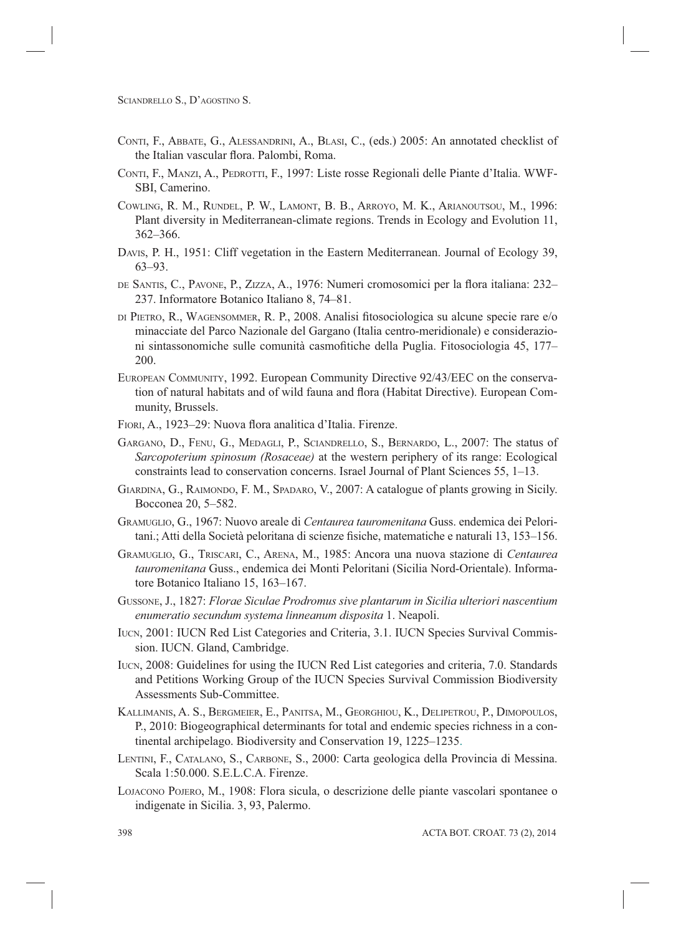- CONTI, F., ABBATE, G., ALESSANDRINI, A., BLASI, C., (eds.) 2005: An annotated checklist of the Italian vascular flora. Palombi, Roma.
- CONTI, F., MANZI, A., PEDROTTI, F., 1997: Liste rosse Regionali delle Piante d'Italia. WWF-SBI, Camerino.
- COWLING, R. M., RUNDEL, P. W., LAMONT, B. B., ARROYO, M. K., ARIANOUTSOU, M., 1996: Plant diversity in Mediterranean-climate regions. Trends in Ecology and Evolution 11, 362–366.
- DAVIS, P. H., 1951: Cliff vegetation in the Eastern Mediterranean. Journal of Ecology 39, 63–93.
- DE SANTIS, C., PAVONE, P., ZIZZA, A., 1976: Numeri cromosomici per la flora italiana: 232– 237. Informatore Botanico Italiano 8, 74–81.
- DI PIETRO, R., WAGENSOMMER, R. P., 2008. Analisi fi tosociologica su alcune specie rare e/o minacciate del Parco Nazionale del Gargano (Italia centro-meridionale) e considerazioni sintassonomiche sulle comunità casmofitiche della Puglia. Fitosociologia 45, 177– 200.
- EUROPEAN COMMUNITY, 1992. European Community Directive 92/43/EEC on the conservation of natural habitats and of wild fauna and flora (Habitat Directive). European Community, Brussels.
- FIORI, A., 1923–29: Nuova flora analitica d'Italia. Firenze.
- GARGANO, D., FENU, G., MEDAGLI, P., SCIANDRELLO, S., BERNARDO, L., 2007: The status of *Sarcopoterium spinosum (Rosaceae)* at the western periphery of its range: Ecological constraints lead to conservation concerns. Israel Journal of Plant Sciences 55, 1–13.
- GIARDINA, G., RAIMONDO, F. M., SPADARO, V., 2007: A catalogue of plants growing in Sicily. Bocconea 20, 5–582.
- GRAMUGLIO, G., 1967: Nuovo areale di *Centaurea tauromenitana* Guss. endemica dei Peloritani.; Atti della Società peloritana di scienze fisiche, matematiche e naturali 13, 153–156.
- GRAMUGLIO, G., TRISCARI, C., ARENA, M., 1985: Ancora una nuova stazione di *Centaurea tauromenitana* Guss., endemica dei Monti Peloritani (Sicilia Nord-Orientale). Informatore Botanico Italiano 15, 163–167.
- GUSSONE, J., 1827: *Florae Siculae Prodromus sive plantarum in Sicilia ulteriori nascentium enumeratio secundum systema linneanum disposita* 1. Neapoli.
- IUCN, 2001: IUCN Red List Categories and Criteria, 3.1. IUCN Species Survival Commission. IUCN. Gland, Cambridge.
- IUCN, 2008: Guidelines for using the IUCN Red List categories and criteria, 7.0. Standards and Petitions Working Group of the IUCN Species Survival Commission Biodiversity Assessments Sub-Committee.
- KALLIMANIS, A. S., BERGMEIER, E., PANITSA, M., GEORGHIOU, K., DELIPETROU, P., DIMOPOULOS, P., 2010: Biogeographical determinants for total and endemic species richness in a continental archipelago. Biodiversity and Conservation 19, 1225–1235.
- LENTINI, F., CATALANO, S., CARBONE, S., 2000: Carta geologica della Provincia di Messina. Scala 1:50.000. S.E.L.C.A. Firenze.
- LOJACONO POJERO, M., 1908: Flora sicula, o descrizione delle piante vascolari spontanee o indigenate in Sicilia. 3, 93, Palermo.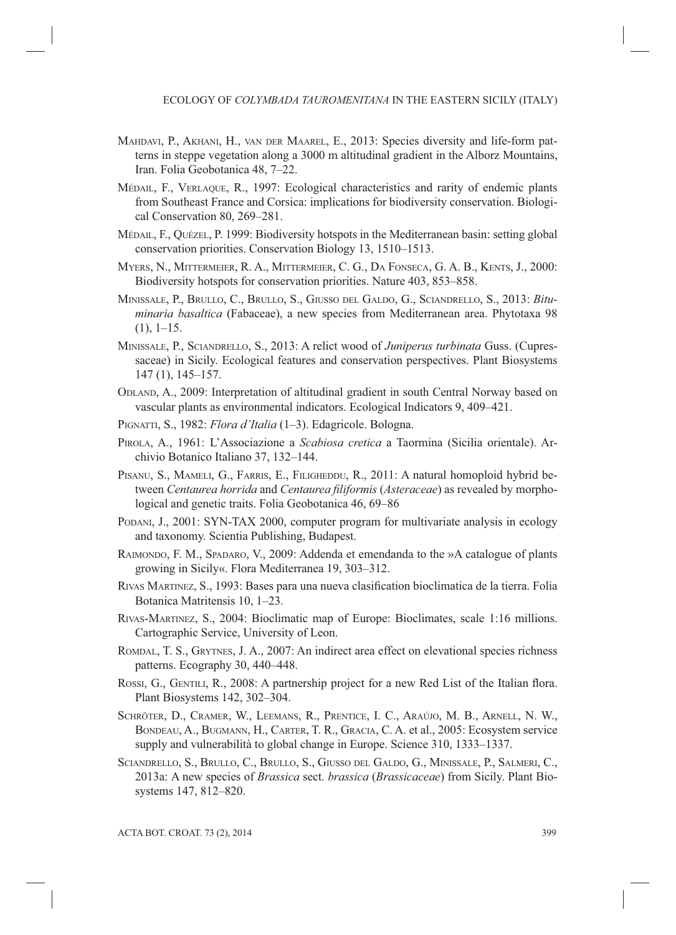- MAHDAVI, P., AKHANI, H., VAN DER MAAREL, E., 2013: Species diversity and life-form patterns in steppe vegetation along a 3000 m altitudinal gradient in the Alborz Mountains, Iran. Folia Geobotanica 48, 7–22.
- MÉDAIL, F., VERLAQUE, R., 1997: Ecological characteristics and rarity of endemic plants from Southeast France and Corsica: implications for biodiversity conservation. Biological Conservation 80, 269–281.
- MÉDAIL, F., QUÉZEL, P. 1999: Biodiversity hotspots in the Mediterranean basin: setting global conservation priorities. Conservation Biology 13, 1510–1513.
- MYERS, N., MITTERMEIER, R. A., MITTERMEIER, C. G., DA FONSECA, G. A. B., KENTS, J., 2000: Biodiversity hotspots for conservation priorities. Nature 403, 853–858.
- MINISSALE, P., BRULLO, C., BRULLO, S., GIUSSO DEL GALDO, G., SCIANDRELLO, S., 2013: *Bituminaria basaltica* (Fabaceae), a new species from Mediterranean area. Phytotaxa 98  $(1), 1-15.$
- MINISSALE, P., SCIANDRELLO, S., 2013: A relict wood of *Juniperus turbinata* Guss. (Cupressaceae) in Sicily. Ecological features and conservation perspectives. Plant Biosystems 147 (1), 145–157.
- ODLAND, A., 2009: Interpretation of altitudinal gradient in south Central Norway based on vascular plants as environmental indicators. Ecological Indicators 9, 409–421.
- PIGNATTI, S., 1982: *Flora d'Italia* (1–3). Edagricole. Bologna.
- PIROLA, A., 1961: L'Associazione a *Scabiosa cretica* a Taormina (Sicilia orientale). Archivio Botanico Italiano 37, 132–144.
- PISANU, S., MAMELI, G., FARRIS, E., FILIGHEDDU, R., 2011: A natural homoploid hybrid between *Centaurea horrida* and *Centaurea filiformis* (*Asteraceae*) as revealed by morphological and genetic traits. Folia Geobotanica 46, 69–86
- PODANI, J., 2001: SYN-TAX 2000, computer program for multivariate analysis in ecology and taxonomy. Scientia Publishing, Budapest.
- RAIMONDO, F. M., SPADARO, V., 2009: Addenda et emendanda to the »A catalogue of plants growing in Sicily«. Flora Mediterranea 19, 303–312.
- RIVAS MARTINEZ, S., 1993: Bases para una nueva clasification bioclimatica de la tierra. Folia Botanica Matritensis 10, 1–23.
- RIVAS-MARTINEZ, S., 2004: Bioclimatic map of Europe: Bioclimates, scale 1:16 millions. Cartographic Service, University of Leon.
- ROMDAL, T. S., GRYTNES, J. A., 2007: An indirect area effect on elevational species richness patterns. Ecography 30, 440–448.
- ROSSI, G., GENTILI, R., 2008: A partnership project for a new Red List of the Italian flora. Plant Biosystems 142, 302–304.
- SCHRÖTER, D., CRAMER, W., LEEMANS, R., PRENTICE, I. C., ARAÚJO, M. B., ARNELL, N. W., BONDEAU, A., BUGMANN, H., CARTER, T. R., GRACIA, C. A. et al., 2005: Ecosystem service supply and vulnerabilità to global change in Europe. Science 310, 1333–1337.
- SCIANDRELLO, S., BRULLO, C., BRULLO, S., GIUSSO DEL GALDO, G., MINISSALE, P., SALMERI, C., 2013a: A new species of *Brassica* sect. *brassica* (*Brassicaceae*) from Sicily. Plant Biosystems 147, 812–820.